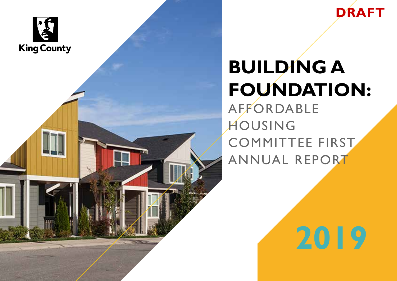



# **BUILDING A FOUNDATION:** AFFORDABLE HOUSING COMMITTEE FIRST

ANNUAL REPORT

**2019**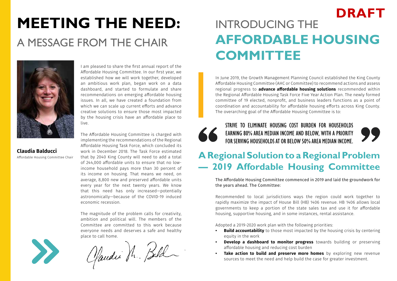## **MEETING THE NEED:** A MESSAGE FROM THE CHAIR



I am pleased to share the first annual report of the Affordable Housing Committee. In our first year, we established how we will work together, developed an ambitious work plan, began work on a data dashboard, and started to formulate and share recommendations on emerging affordable housing issues. In all, we have created a foundation from which we can scale up current efforts and advance creative solutions to ensure those most impacted by the housing crisis have an affordable place to live.

**Claudia Balducci**  Affordable Housing Committee Chair

The Affordable Housing Committee is charged with implementing the recommendations of the Regional Affordable Housing Task Force, which concluded its work in December 2018. The Task Force estimated that by 2040 King County will need to add a total of 244,000 affordable units to ensure that no lowincome household pays more than 30 percent of its income on housing. That means we need, on average, 8,800 new and preserved affordable units every year for the next twenty years. We know that this need has only increased—potentially astronomically—because of the COVID-19 induced economic recession.

The magnitude of the problem calls for creativity, ambition and political will. The members of the Committee are committed to this work because everyone needs and deserves a safe and healthy

place to call home.<br>Chaudii H. Beld

### INTRODUCING THE **AFFORDABLE HOUSING COMMITTEE DRAFT**

In June 2019, the Growth Management Planning Council established the King County Affordable Housing Committee (AHC or Committee) to recommend actions and assess regional progress to **advance affordable housing solutions** recommended within the Regional Affordable Housing Task Force Five Year Action Plan. The newly formed committee of 19 elected, nonprofit, and business leaders functions as a point of coordination and accountability for affordable housing efforts across King County. The overarching goal of the Affordable Housing Committee is to:



STRIVE TO ELIMINATE HOUSING COST BURDEN FOR HOUSEHOLDS EARNING 80% AREA MEDIAN INCOME AND BELOW, WITH A PRIORITY FOR SERVING HOUSEHOLDS AT OR BELOW 50% AREA MEDIAN INCOME.

"

### **A Regional Solution to a Regional Problem — 2019 Affordable Housing Committee**

The Affordable Housing Committee commenced in 2019 and laid the groundwork for the years ahead. The Committee:

Recommended to local jurisdictions ways the region could work together to rapidly maximize the impact of House Bill (HB) 1406 revenue. HB 1406 allows local governments to keep a portion of the state sales tax and use it for affordable housing, supportive housing, and in some instances, rental assistance.

Adopted a 2019-2020 work plan with the following priorities:

- **Build accountability** to those most impacted by the housing crisis by centering equity in the work
- **Develop a dashboard to monitor progress** towards building or preserving affordable housing and reducing cost burden
- **• Take action to build and preserve more homes** by exploring new revenue sources to meet the need and help build the case for greater investment.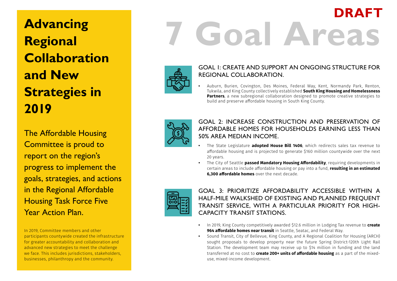**Advancing Regional Collaboration and New Strategies in 2019**

The Affordable Housing Committee is proud to report on the region's progress to implement the goals, strategies, and actions in the Regional Affordable Housing Task Force Five Year Action Plan.

In 2019, Committee members and other participants countywide created the infrastructure for greater accountability and collaboration and advanced new strategies to meet the challenge we face. This includes jurisdictions, stakeholders, businesses, philanthropy and the community.

# **7 Goal Areas DRAFT**



#### GOAL 1: CREATE AND SUPPORT AN ONGOING STRUCTURE FOR REGIONAL COLLABORATION.

**•** Auburn, Burien, Covington, Des Moines, Federal Way, Kent, Normandy Park, Renton, Tukwila, and King County collectively established **South King Housing and Homelessness Partners**, a new subregional collaboration designed to promote creative strategies to build and preserve affordable housing in South King County.



#### GOAL 2: INCREASE CONSTRUCTION AND PRESERVATION OF AFFORDABLE HOMES FOR HOUSEHOLDS EARNING LESS THAN 50% AREA MEDIAN INCOME.

- **•** The State Legislature **adopted House Bill 1406**, which redirects sales tax revenue to affordable housing and is projected to generate \$160 million countywide over the next 20 years.
- **•** The City of Seattle **passed Mandatory Housing Affordability**, requiring developments in certain areas to include affordable housing or pay into a fund, **resulting in an estimated 6,300 affordable homes** over the next decade.



GOAL 3: PRIORITIZE AFFORDABILITY ACCESSIBLE WITHIN A HALF-MILE WALKSHED OF EXISTING AND PLANNED FREQUENT TRANSIT SERVICE, WITH A PARTICULAR PRIORITY FOR HIGH-CAPACITY TRANSIT STATIONS.

- **•** In 2019, King County competitively awarded \$12.6 million in Lodging Tax revenue to **create 964 affordable homes near transit** in Seattle, Seatac, and Federal Way.
- **•** Sound Transit, City of Bellevue, King County, and A Regional Coalition for Housing (ARCH) sought proposals to develop property near the future Spring District-120th Light Rail Station. The development team may receive up to \$14 million in funding and the land transferred at no cost to **create 200+ units of affordable housing** as a part of the mixeduse, mixed-income development.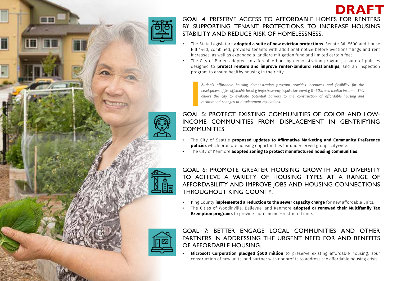

mm

ī

#### GOAL 4: PRESERVE ACCESS TO AFFORDABLE HOMES FOR RENTERS BY SUPPORTING TENANT PROTECTIONS TO INCREASE HOUSING STABILITY AND REDUCE RISK OF HOMELESSNESS.

**DRAFT**

- **•** The State Legislature **adopted a suite of new eviction protections**. Senate Bill 5600 and House Bill 1440, combined, provided tenants with additional notice before evictions filings and rent increases, as well as expanded a landlord mitigation fund and limited certain fees.
- **•** The City of Burien adopted an affordable housing demonstration program, a suite of policies designed to **protect renters and improve renter-landlord relationships**, and an inspection program to ensure healthy housing in their city.

*Burien's affordable housing demonstration program provides incentives and flexibility for the development of five affordable housing projects serving populations earning 0–50% area median income. This allows the city to evaluate potential barriers to the construction of affordable housing and recommend changes to development regulations.*

GOAL 5: PROTECT EXISTING COMMUNITIES OF COLOR AND LOW-INCOME COMMUNITIES FROM DISPLACEMENT IN GENTRIFYING COMMUNITIES.

- **•** The City of Seattle **proposed updates to Affirmative Marketing and Community Preference policies** which promote housing opportunities for underserved groups citywide.
- **•** The City of Kenmore **adopted zoning to protect manufactured housing communities**.

GOAL 6: PROMOTE GREATER HOUSING GROWTH AND DIVERSITY TO ACHIEVE A VARIETY OF HOUSING TYPES AT A RANGE OF AFFORDABILITY AND IMPROVE JOBS AND HOUSING CONNECTIONS THROUGHOUT KING COUNTY.

- **•** King County **implemented a reduction to the sewer capacity charge** for new affordable units.
- **•** The Cities of Woodinville, Bellevue, and Kenmore **adopted or renewed their Multifamily Tax Exemption programs** to provide more income-restricted units.



GOAL 7: BETTER ENGAGE LOCAL COMMUNITIES AND OTHER PARTNERS IN ADDRESSING THE URGENT NEED FOR AND BENEFITS OF AFFORDABLE HOUSING.

**• Microsoft Corporation pledged \$500 million** to preserve existing affordable housing, spur construction of new units, and partner with nonprofits to address the affordable housing crisis.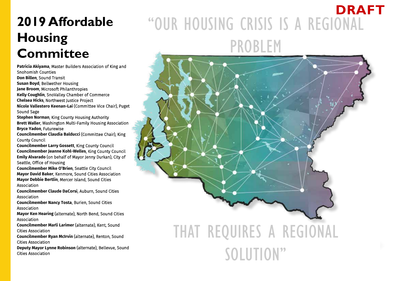### **2019 Affordable Housing Committee**

**Patricia Akiyama**, Master Builders Association of King and Snohomish Counties **Don Billen**, Sound Transit **Susan Boyd**, Bellwether Housing **Jane Broom**, Microsoft Philanthropies **Kelly Coughlin**, SnoValley Chamber of Commerce **Chelsea Hicks**, Northwest Justice Project **Nicole Vallestero Keenan-Lai** (Committee Vice Chair), Puget Sound Sage **Stephen Norman**, King County Housing Authority **Brett Waller**, Washington Multi-Family Housing Association **Bryce Yadon**, Futurewise **Councilmember Claudia Balducci** (Committee Chair), King County Council **Councilmember Larry Gossett**, King County Council **Councilmember Jeanne Kohl-Welles**, King County Council **Emily Alvarado** (on behalf of Mayor Jenny Durkan), City of Seattle, Office of Housing **Councilmember Mike O'Brien**, Seattle City Council **Mayor David Baker**, Kenmore, Sound Cities Association **Mayor Debbie Bertlin**, Mercer Island, Sound Cities Association **Councilmember Claude DaCorsi**, Auburn, Sound Cities Association **Councilmember Nancy Tosta**, Burien, Sound Cities Association **Mayor Ken Hearing** (alternate), North Bend, Sound Cities Association **Councilmember Marli Larimer** (alternate), Kent, Sound Cities Association **Councilmember Ryan McIrvin** (alternate), Renton, Sound Cities Association

**Deputy Mayor Lynne Robinson** (alternate), Bellevue, Sound Cities Association

## "OUR HOUSING CRISIS IS A REGIONAL PROBLEM **DRAFT**